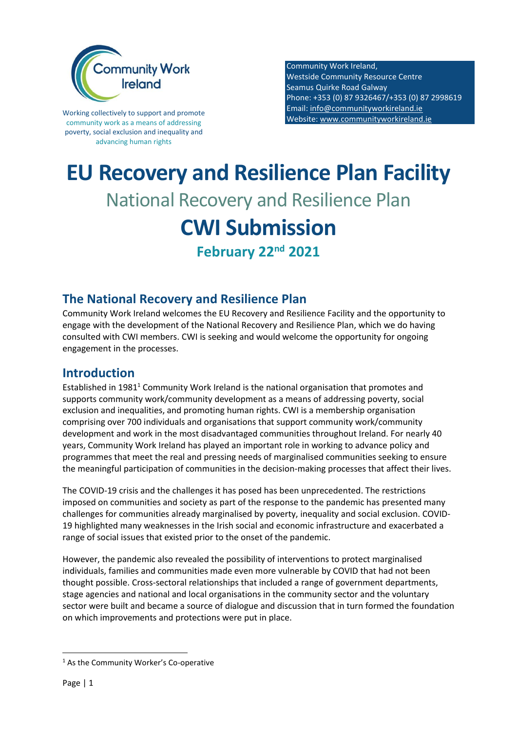

Working collectively to support and promote community work as a means of addressing poverty, social exclusion and inequality and advancing human rights

Community Work Ireland, Westside Community Resource Centre Seamus Quirke Road Galway Phone: +353 (0) 87 9326467/+353 (0) 87 2998619 Email: [info@communityworkireland.ie](mailto:info@communityworkireland.ie) Website[: www.communityworkireland.ie](http://www.communityworkireland.ie/)

# **EU Recovery and Resilience Plan Facility** National Recovery and Resilience Plan **CWI Submission February 22nd 2021**

## **The National Recovery and Resilience Plan**

Community Work Ireland welcomes the EU Recovery and Resilience Facility and the opportunity to engage with the development of the National Recovery and Resilience Plan, which we do having consulted with CWI members. CWI is seeking and would welcome the opportunity for ongoing engagement in the processes.

### **Introduction**

Established in  $1981<sup>1</sup>$  Community Work Ireland is the national organisation that promotes and supports community work/community development as a means of addressing poverty, social exclusion and inequalities, and promoting human rights. CWI is a membership organisation comprising over 700 individuals and organisations that support community work/community development and work in the most disadvantaged communities throughout Ireland. For nearly 40 years, Community Work Ireland has played an important role in working to advance policy and programmes that meet the real and pressing needs of marginalised communities seeking to ensure the meaningful participation of communities in the decision-making processes that affect their lives.

The COVID-19 crisis and the challenges it has posed has been unprecedented. The restrictions imposed on communities and society as part of the response to the pandemic has presented many challenges for communities already marginalised by poverty, inequality and social exclusion. COVID-19 highlighted many weaknesses in the Irish social and economic infrastructure and exacerbated a range of social issues that existed prior to the onset of the pandemic.

However, the pandemic also revealed the possibility of interventions to protect marginalised individuals, families and communities made even more vulnerable by COVID that had not been thought possible. Cross-sectoral relationships that included a range of government departments, stage agencies and national and local organisations in the community sector and the voluntary sector were built and became a source of dialogue and discussion that in turn formed the foundation on which improvements and protections were put in place.

<sup>1</sup> As the Community Worker's Co-operative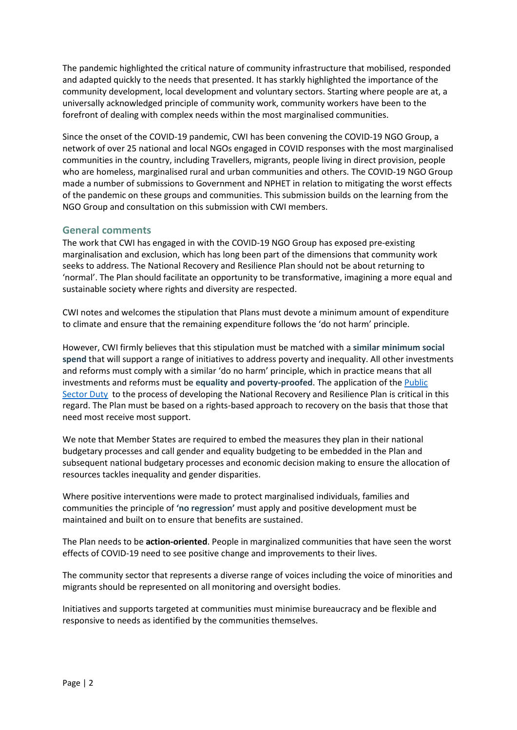The pandemic highlighted the critical nature of community infrastructure that mobilised, responded and adapted quickly to the needs that presented. It has starkly highlighted the importance of the community development, local development and voluntary sectors. Starting where people are at, a universally acknowledged principle of community work, community workers have been to the forefront of dealing with complex needs within the most marginalised communities.

Since the onset of the COVID-19 pandemic, CWI has been convening the COVID-19 NGO Group, a network of over 25 national and local NGOs engaged in COVID responses with the most marginalised communities in the country, including Travellers, migrants, people living in direct provision, people who are homeless, marginalised rural and urban communities and others. The COVID-19 NGO Group made a number of submissions to Government and NPHET in relation to mitigating the worst effects of the pandemic on these groups and communities. This submission builds on the learning from the NGO Group and consultation on this submission with CWI members.

#### **General comments**

The work that CWI has engaged in with the COVID-19 NGO Group has exposed pre-existing marginalisation and exclusion, which has long been part of the dimensions that community work seeks to address. The National Recovery and Resilience Plan should not be about returning to 'normal'. The Plan should facilitate an opportunity to be transformative, imagining a more equal and sustainable society where rights and diversity are respected.

CWI notes and welcomes the stipulation that Plans must devote a minimum amount of expenditure to climate and ensure that the remaining expenditure follows the 'do not harm' principle.

However, CWI firmly believes that this stipulation must be matched with a **similar minimum social spend** that will support a range of initiatives to address poverty and inequality. All other investments and reforms must comply with a similar 'do no harm' principle, which in practice means that all investments and reforms must be **equality and poverty-proofed**. The application of th[e Public](https://www.ihrec.ie/our-work/public-sector-duty/)  [Sector Duty](https://www.ihrec.ie/our-work/public-sector-duty/) to the process of developing the National Recovery and Resilience Plan is critical in this regard. The Plan must be based on a rights-based approach to recovery on the basis that those that need most receive most support.

We note that Member States are required to embed the measures they plan in their national budgetary processes and call gender and equality budgeting to be embedded in the Plan and subsequent national budgetary processes and economic decision making to ensure the allocation of resources tackles inequality and gender disparities.

Where positive interventions were made to protect marginalised individuals, families and communities the principle of **'no regression'** must apply and positive development must be maintained and built on to ensure that benefits are sustained.

The Plan needs to be **action-oriented**. People in marginalized communities that have seen the worst effects of COVID-19 need to see positive change and improvements to their lives.

The community sector that represents a diverse range of voices including the voice of minorities and migrants should be represented on all monitoring and oversight bodies.

Initiatives and supports targeted at communities must minimise bureaucracy and be flexible and responsive to needs as identified by the communities themselves.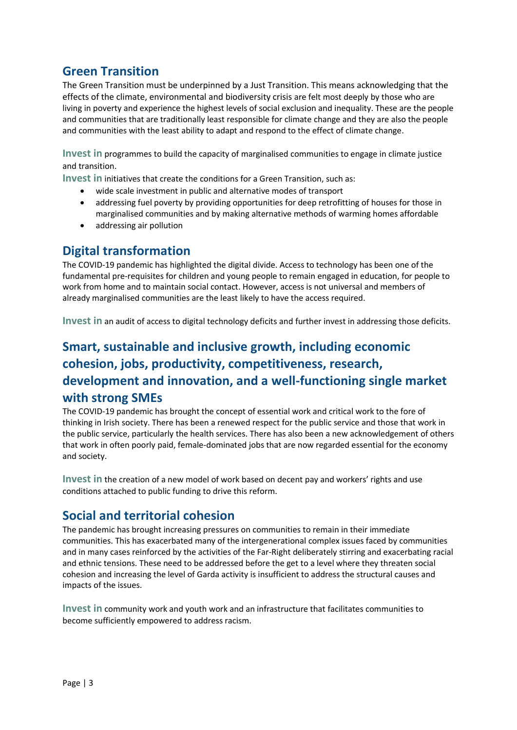## **Green Transition**

The Green Transition must be underpinned by a Just Transition. This means acknowledging that the effects of the climate, environmental and biodiversity crisis are felt most deeply by those who are living in poverty and experience the highest levels of social exclusion and inequality. These are the people and communities that are traditionally least responsible for climate change and they are also the people and communities with the least ability to adapt and respond to the effect of climate change.

**Invest in** programmes to build the capacity of marginalised communities to engage in climate justice and transition.

**Invest in** initiatives that create the conditions for a Green Transition, such as:

- wide scale investment in public and alternative modes of transport
- addressing fuel poverty by providing opportunities for deep retrofitting of houses for those in marginalised communities and by making alternative methods of warming homes affordable
- addressing air pollution

## **Digital transformation**

The COVID-19 pandemic has highlighted the digital divide. Access to technology has been one of the fundamental pre-requisites for children and young people to remain engaged in education, for people to work from home and to maintain social contact. However, access is not universal and members of already marginalised communities are the least likely to have the access required.

**Invest in** an audit of access to digital technology deficits and further invest in addressing those deficits.

# **Smart, sustainable and inclusive growth, including economic cohesion, jobs, productivity, competitiveness, research, development and innovation, and a well-functioning single market with strong SMEs**

The COVID-19 pandemic has brought the concept of essential work and critical work to the fore of thinking in Irish society. There has been a renewed respect for the public service and those that work in the public service, particularly the health services. There has also been a new acknowledgement of others that work in often poorly paid, female-dominated jobs that are now regarded essential for the economy and society.

**Invest in** the creation of a new model of work based on decent pay and workers' rights and use conditions attached to public funding to drive this reform.

## **Social and territorial cohesion**

The pandemic has brought increasing pressures on communities to remain in their immediate communities. This has exacerbated many of the intergenerational complex issues faced by communities and in many cases reinforced by the activities of the Far-Right deliberately stirring and exacerbating racial and ethnic tensions. These need to be addressed before the get to a level where they threaten social cohesion and increasing the level of Garda activity is insufficient to address the structural causes and impacts of the issues.

**Invest in** community work and youth work and an infrastructure that facilitates communities to become sufficiently empowered to address racism.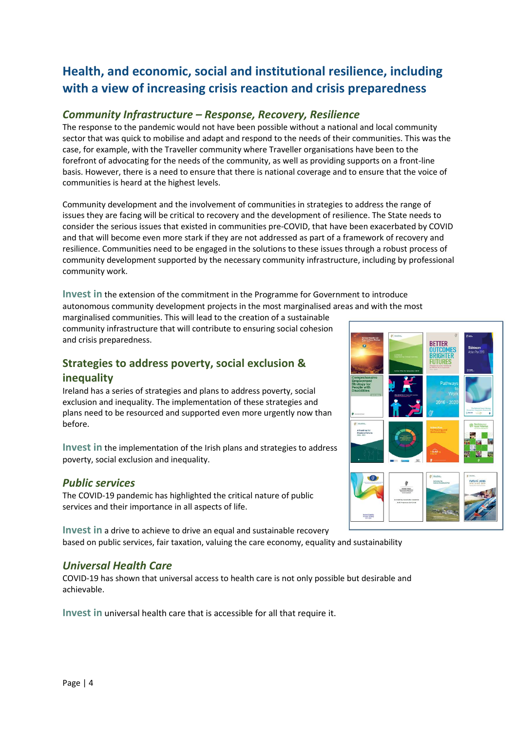# **Health, and economic, social and institutional resilience, including with a view of increasing crisis reaction and crisis preparedness**

#### *Community Infrastructure – Response, Recovery, Resilience*

The response to the pandemic would not have been possible without a national and local community sector that was quick to mobilise and adapt and respond to the needs of their communities. This was the case, for example, with the Traveller community where Traveller organisations have been to the forefront of advocating for the needs of the community, as well as providing supports on a front-line basis. However, there is a need to ensure that there is national coverage and to ensure that the voice of communities is heard at the highest levels.

Community development and the involvement of communities in strategies to address the range of issues they are facing will be critical to recovery and the development of resilience. The State needs to consider the serious issues that existed in communities pre-COVID, that have been exacerbated by COVID and that will become even more stark if they are not addressed as part of a framework of recovery and resilience. Communities need to be engaged in the solutions to these issues through a robust process of community development supported by the necessary community infrastructure, including by professional community work.

**Invest in** the extension of the commitment in the Programme for Government to introduce autonomous community development projects in the most marginalised areas and with the most

marginalised communities. This will lead to the creation of a sustainable community infrastructure that will contribute to ensuring social cohesion and crisis preparedness.

### **Strategies to address poverty, social exclusion & inequality**

Ireland has a series of strategies and plans to address poverty, social exclusion and inequality. The implementation of these strategies and plans need to be resourced and supported even more urgently now than before.

**Invest in** the implementation of the Irish plans and strategies to address poverty, social exclusion and inequality.

#### *Public services*

The COVID-19 pandemic has highlighted the critical nature of public services and their importance in all aspects of life.

**Invest in** a drive to achieve to drive an equal and sustainable recovery based on public services, fair taxation, valuing the care economy, equality and sustainability

#### *Universal Health Care*

COVID-19 has shown that universal access to health care is not only possible but desirable and achievable.

**Invest in** universal health care that is accessible for all that require it.